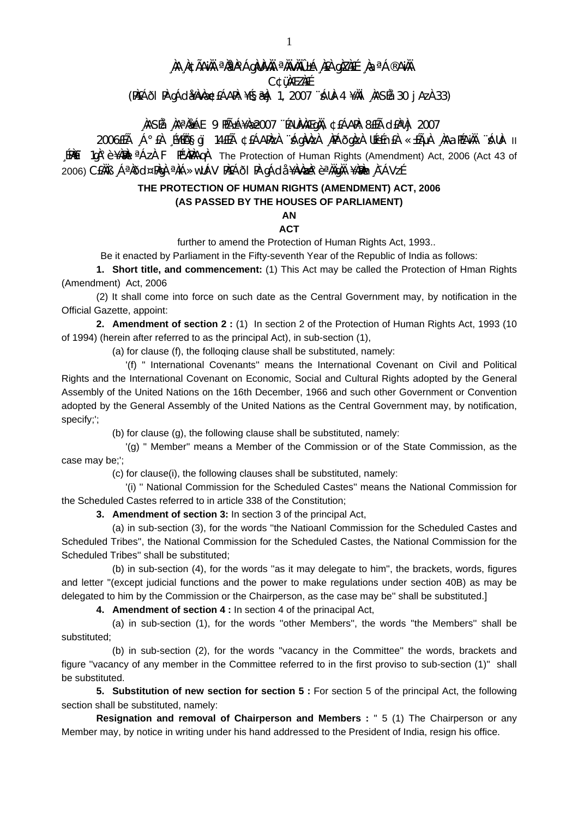## , ÀA A¢ÃAìÀI ªÀªÀ°ÁgÀIÀ?AI ªÀIvÀIO±Á A£A gAZA£É AaªÁ®AìÀI

**C¢üMEZNEE** 

(PIEÁði PI gÁdi¥Áv)梣ÁAPA: ¥É§æ)j 1, 2007 ¨ÁUÀ-4 ¥ÄII 'IASÉå 30 j Az) 33)

## NASÉå NAªN&ÁE 9 HÁ±Á¥Næ2007 "ÉAUNAAEgNA, ¢£ÁAPN: 8£Éà cI£NªNj 2007

11 -AUÀ' ĂMANA AGAL ALAHA SEARAN ARAQA ARAQA ALAHA ANG ANG ANG ANG ALA A ANG ANG A [PAET 1qˡ è ¥AMAI<sup>a</sup> ÁzÀ F PÉVAPAAQA The Protection of Human Rights (Amendment) Act, 2006 (Act 43 of 2006) CEÀÏB "ÁªAðd¤PÀqA ªÀiÁ»wUÁV PÀEÁðI PA qÁda ¥ÀvÀæA°èªÀÄqÀÄ ¥ÀÐÀn À¯ÁVzÉ

## THE PROTECTION OF HUMAN RIGHTS (AMENDMENT) ACT. 2006 (AS PASSED BY THE HOUSES OF PARLIAMENT)

## **AN**

**ACT** further to amend the Protection of Human Rights Act, 1993..

Be it enacted by Parliament in the Fifty-seventh Year of the Republic of India as follows:

1. Short title, and commencement: (1) This Act may be called the Protection of Hman Rights (Amendment) Act, 2006

(2) It shall come into force on such date as the Central Government may, by notification in the Official Gazette, appoint:

2. Amendment of section 2 : (1) In section 2 of the Protection of Human Rights Act, 1993 (10 of 1994) (herein after referred to as the principal Act), in sub-section (1).

(a) for clause (f), the folloging clause shall be substituted, namely:

'(f) " International Covenants" means the International Covenant on Civil and Political Rights and the International Covenant on Economic. Social and Cultural Rights adopted by the General Assembly of the United Nations on the 16th December, 1966 and such other Government or Convention adopted by the General Assembly of the United Nations as the Central Government may, by notification, specify;';

(b) for clause (g), the following clause shall be substituted, namely:

'(g) " Member" means a Member of the Commission or of the State Commission, as the case may be:":

(c) for clause(i), the following clauses shall be substituted, namely:

'(i) " National Commission for the Scheduled Castes" means the National Commission for the Scheduled Castes referred to in article 338 of the Constitution:

3. Amendment of section 3: In section 3 of the principal Act,

(a) in sub-section (3), for the words "the Natioanl Commission for the Scheduled Castes and Scheduled Tribes", the National Commission for the Scheduled Castes, the National Commission for the Scheduled Tribes" shall be substituted;

(b) in sub-section (4), for the words "as it may delegate to him", the brackets, words, figures and letter "(except judicial functions and the power to make regulations under section 40B) as may be delegated to him by the Commission or the Chairperson, as the case may be" shall be substituted.]

4. Amendment of section 4 : In section 4 of the prinacipal Act,

(a) in sub-section (1), for the words "other Members", the words "the Members" shall be substituted:

(b) in sub-section (2), for the words "vacancy in the Committee" the words, brackets and figure "vacancy of any member in the Committee referred to in the first proviso to sub-section (1)" shall be substituted.

5. Substitution of new section for section 5 : For section 5 of the principal Act, the following section shall be substituted, namely:

Resignation and removal of Chairperson and Members : " 5 (1) The Chairperson or any Member may, by notice in writing under his hand addressed to the President of India, resign his office.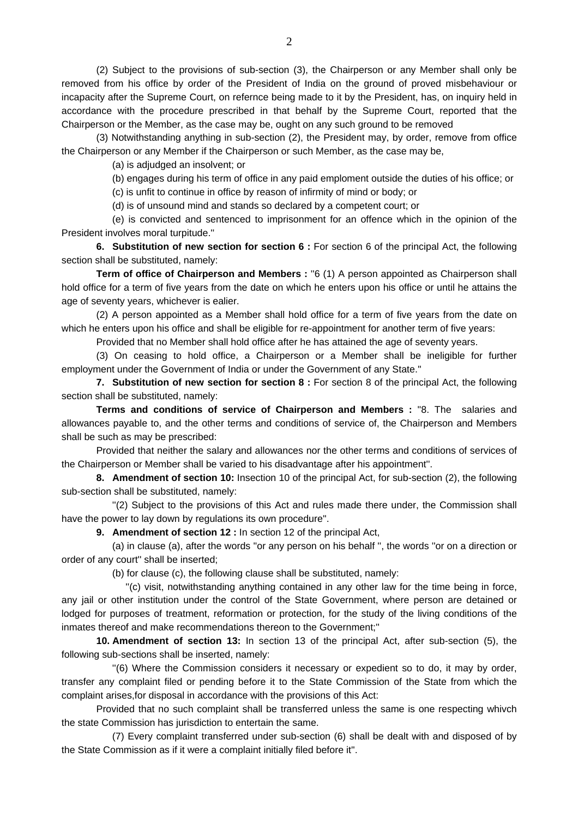(2) Subject to the provisions of sub-section (3), the Chairperson or any Member shall only be removed from his office by order of the President of India on the ground of proved misbehaviour or incapacity after the Supreme Court, on refernce being made to it by the President, has, on inquiry held in accordance with the procedure prescribed in that behalf by the Supreme Court, reported that the Chairperson or the Member, as the case may be, ought on any such ground to be removed

 (3) Notwithstanding anything in sub-section (2), the President may, by order, remove from office the Chairperson or any Member if the Chairperson or such Member, as the case may be,

(a) is adjudged an insolvent; or

(b) engages during his term of office in any paid emploment outside the duties of his office; or

(c) is unfit to continue in office by reason of infirmity of mind or body; or

(d) is of unsound mind and stands so declared by a competent court; or

 (e) is convicted and sentenced to imprisonment for an offence which in the opinion of the President involves moral turpitude.''

**6. Substitution of new section for section 6 :** For section 6 of the principal Act, the following section shall be substituted, namely:

**Term of office of Chairperson and Members** : "6 (1) A person appointed as Chairperson shall hold office for a term of five years from the date on which he enters upon his office or until he attains the age of seventy years, whichever is ealier.

 (2) A person appointed as a Member shall hold office for a term of five years from the date on which he enters upon his office and shall be eligible for re-appointment for another term of five years:

Provided that no Member shall hold office after he has attained the age of seventy years.

 (3) On ceasing to hold office, a Chairperson or a Member shall be ineligible for further employment under the Government of India or under the Government of any State.''

**7. Substitution of new section for section 8 :** For section 8 of the principal Act, the following section shall be substituted, namely:

**Terms and conditions of service of Chairperson and Members :** ''8. The salaries and allowances payable to, and the other terms and conditions of service of, the Chairperson and Members shall be such as may be prescribed:

 Provided that neither the salary and allowances nor the other terms and conditions of services of the Chairperson or Member shall be varied to his disadvantage after his appointment''.

**8. Amendment of section 10:** Insection 10 of the principal Act, for sub-section (2), the following sub-section shall be substituted, namely:

 ''(2) Subject to the provisions of this Act and rules made there under, the Commission shall have the power to lay down by regulations its own procedure''.

**9. Amendment of section 12 :** In section 12 of the principal Act,

 (a) in clause (a), after the words ''or any person on his behalf '', the words ''or on a direction or order of any court'' shall be inserted;

(b) for clause (c), the following clause shall be substituted, namely:

 ''(c) visit, notwithstanding anything contained in any other law for the time being in force, any jail or other institution under the control of the State Government, where person are detained or lodged for purposes of treatment, reformation or protection, for the study of the living conditions of the inmates thereof and make recommendations thereon to the Government;''

**10. Amendment of section 13:** In section 13 of the principal Act, after sub-section (5), the following sub-sections shall be inserted, namely:

 ''(6) Where the Commission considers it necessary or expedient so to do, it may by order, transfer any complaint filed or pending before it to the State Commission of the State from which the complaint arises,for disposal in accordance with the provisions of this Act:

 Provided that no such complaint shall be transferred unless the same is one respecting whivch the state Commission has jurisdiction to entertain the same.

 (7) Every complaint transferred under sub-section (6) shall be dealt with and disposed of by the State Commission as if it were a complaint initially filed before it''.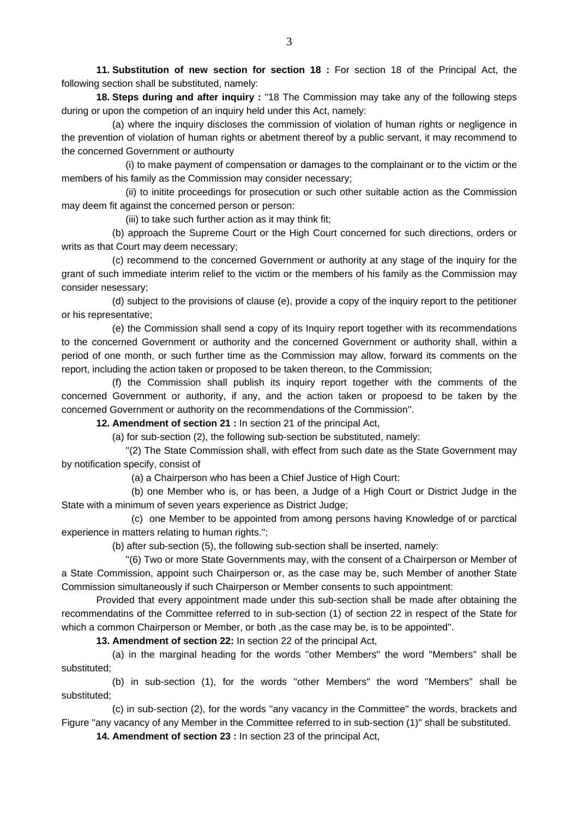**11. Substitution of new section for section 18 :** For section 18 of the Principal Act, the following section shall be substituted, namely:

**18. Steps during and after inquiry :** ''18 The Commission may take any of the following steps during or upon the competion of an inquiry held under this Act, namely:

 (a) where the inquiry discloses the commission of violation of human rights or negligence in the prevention of violation of human rights or abetment thereof by a public servant, it may recommend to the concerned Government or authourty

 (i) to make payment of compensation or damages to the complainant or to the victim or the members of his family as the Commission may consider necessary;

 (ii) to initite proceedings for prosecution or such other suitable action as the Commission may deem fit against the concerned person or person:

(iii) to take such further action as it may think fit;

 (b) approach the Supreme Court or the High Court concerned for such directions, orders or writs as that Court may deem necessary;

 (c) recommend to the concerned Government or authority at any stage of the inquiry for the grant of such immediate interim relief to the victim or the members of his family as the Commission may consider nesessary;

 (d) subject to the provisions of clause (e), provide a copy of the inquiry report to the petitioner or his representative;

 (e) the Commission shall send a copy of its Inquiry report together with its recommendations to the concerned Government or authority and the concerned Government or authority shall, within a period of one month, or such further time as the Commission may allow, forward its comments on the report, including the action taken or proposed to be taken thereon, to the Commission;

 (f) the Commission shall publish its inquiry report together with the comments of the concerned Government or authority, if any, and the action taken or propoesd to be taken by the concerned Government or authority on the recommendations of the Commission''.

**12. Amendment of section 21 :** In section 21 of the principal Act,

(a) for sub-section (2), the following sub-section be substituted, namely:

 ''(2) The State Commission shall, with effect from such date as the State Government may by notification specify, consist of

(a) a Chairperson who has been a Chief Justice of High Court:

 (b) one Member who is, or has been, a Judge of a High Court or District Judge in the State with a minimum of seven years experience as District Judge;

 (c) one Member to be appointed from among persons having Knowledge of or parctical experience in matters relating to human rights.'';

(b) after sub-section (5), the following sub-section shall be inserted, namely:

 ''(6) Two or more State Governments may, with the consent of a Chairperson or Member of a State Commission, appoint such Chairperson or, as the case may be, such Member of another State Commission simultaneously if such Chairperson or Member consents to such appointment:

 Provided that every appointment made under this sub-section shall be made after obtaining the recommendatins of the Committee referred to in sub-section (1) of section 22 in respect of the State for which a common Chairperson or Member, or both ,as the case may be, is to be appointed''.

**13. Amendment of section 22:** In section 22 of the principal Act,

 (a) in the marginal heading for the words ''other Members'' the word ''Members'' shall be substituted;

 (b) in sub-section (1), for the words ''other Members'' the word ''Members'' shall be substituted;

 (c) in sub-section (2), for the words ''any vacancy in the Committee'' the words, brackets and Figure ''any vacancy of any Member in the Committee referred to in sub-section (1)'' shall be substituted.

**14. Amendment of section 23 :** In section 23 of the principal Act,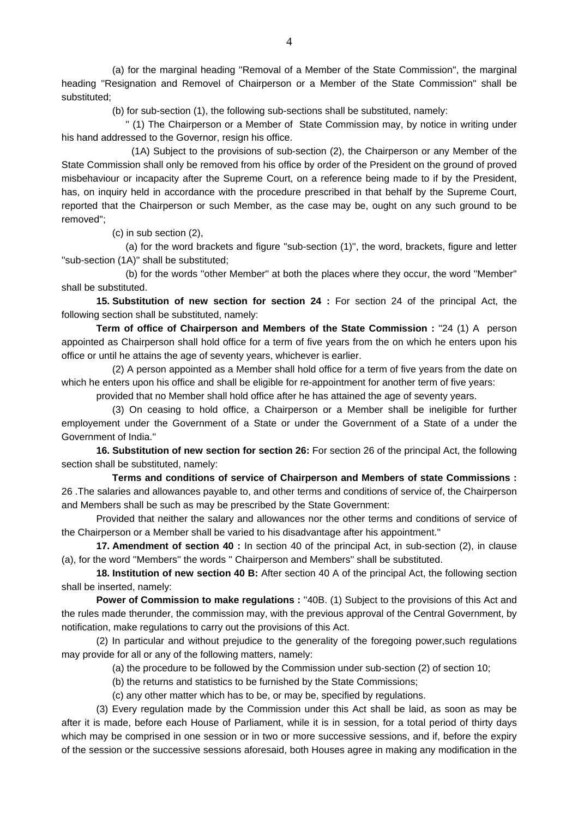(a) for the marginal heading ''Removal of a Member of the State Commission'', the marginal heading ''Resignation and Removel of Chairperson or a Member of the State Commission'' shall be substituted;

(b) for sub-section (1), the following sub-sections shall be substituted, namely:

 '' (1) The Chairperson or a Member of State Commission may, by notice in writing under his hand addressed to the Governor, resign his office.

 (1A) Subject to the provisions of sub-section (2), the Chairperson or any Member of the State Commission shall only be removed from his office by order of the President on the ground of proved misbehaviour or incapacity after the Supreme Court, on a reference being made to if by the President, has, on inquiry held in accordance with the procedure prescribed in that behalf by the Supreme Court, reported that the Chairperson or such Member, as the case may be, ought on any such ground to be removed'';

(c) in sub section (2),

 (a) for the word brackets and figure ''sub-section (1)'', the word, brackets, figure and letter ''sub-section (1A)'' shall be substituted;

 (b) for the words ''other Member'' at both the places where they occur, the word ''Member'' shall be substituted.

**15. Substitution of new section for section 24 :** For section 24 of the principal Act, the following section shall be substituted, namely:

**Term of office of Chairperson and Members of the State Commission :** "24 (1) A person appointed as Chairperson shall hold office for a term of five years from the on which he enters upon his office or until he attains the age of seventy years, whichever is earlier.

 (2) A person appointed as a Member shall hold office for a term of five years from the date on which he enters upon his office and shall be eligible for re-appointment for another term of five years:

provided that no Member shall hold office after he has attained the age of seventy years.

 (3) On ceasing to hold office, a Chairperson or a Member shall be ineligible for further employement under the Government of a State or under the Government of a State of a under the Government of India.''

**16. Substitution of new section for section 26:** For section 26 of the principal Act, the following section shall be substituted, namely:

 **Terms and conditions of service of Chairperson and Members of state Commissions :** 26 .The salaries and allowances payable to, and other terms and conditions of service of, the Chairperson and Members shall be such as may be prescribed by the State Government:

 Provided that neither the salary and allowances nor the other terms and conditions of service of the Chairperson or a Member shall be varied to his disadvantage after his appointment.''

**17. Amendment of section 40 :** In section 40 of the principal Act, in sub-section (2), in clause (a), for the word ''Members'' the words '' Chairperson and Members'' shall be substituted.

**18. Institution of new section 40 B:** After section 40 A of the principal Act, the following section shall be inserted, namely:

**Power of Commission to make regulations :** ''40B. (1) Subject to the provisions of this Act and the rules made therunder, the commission may, with the previous approval of the Central Government, by notification, make regulations to carry out the provisions of this Act.

 (2) In particular and without prejudice to the generality of the foregoing power,such regulations may provide for all or any of the following matters, namely:

(a) the procedure to be followed by the Commission under sub-section (2) of section 10;

(b) the returns and statistics to be furnished by the State Commissions;

(c) any other matter which has to be, or may be, specified by regulations.

 (3) Every regulation made by the Commission under this Act shall be laid, as soon as may be after it is made, before each House of Parliament, while it is in session, for a total period of thirty days which may be comprised in one session or in two or more successive sessions, and if, before the expiry of the session or the successive sessions aforesaid, both Houses agree in making any modification in the